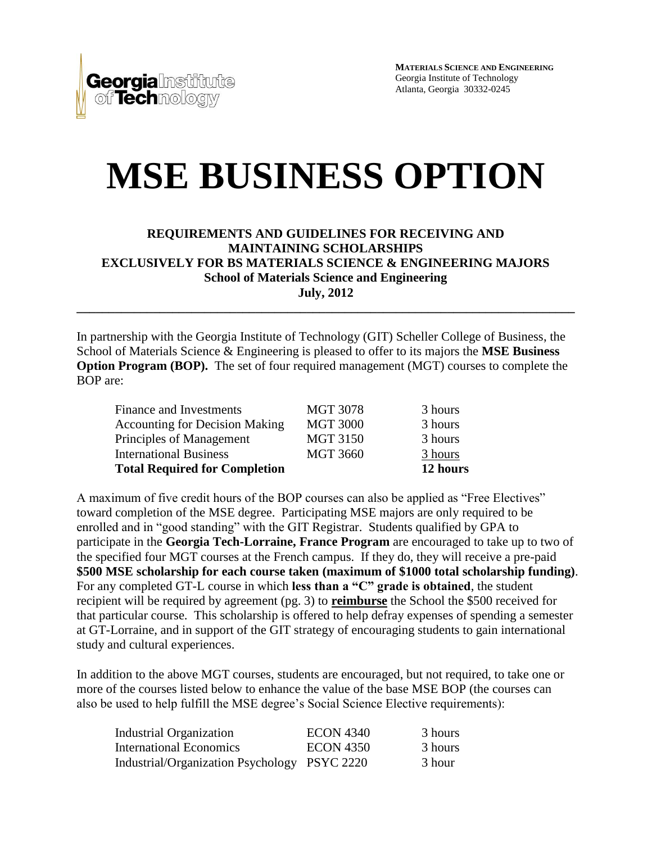**Georgia**lnst of **Tech**mology

**MATERIALS SCIENCE AND ENGINEERING** Georgia Institute of Technology Atlanta, Georgia 30332-0245

# **MSE BUSINESS OPTION**

#### **REQUIREMENTS AND GUIDELINES FOR RECEIVING AND MAINTAINING SCHOLARSHIPS EXCLUSIVELY FOR BS MATERIALS SCIENCE & ENGINEERING MAJORS School of Materials Science and Engineering July, 2012**

**\_\_\_\_\_\_\_\_\_\_\_\_\_\_\_\_\_\_\_\_\_\_\_\_\_\_\_\_\_\_\_\_\_\_\_\_\_\_\_\_\_\_\_\_\_\_\_\_\_\_\_\_\_\_\_\_\_\_\_\_\_\_\_\_\_\_\_\_\_\_\_\_\_\_\_\_\_\_**

In partnership with the Georgia Institute of Technology (GIT) Scheller College of Business, the School of Materials Science & Engineering is pleased to offer to its majors the **MSE Business Option Program (BOP).** The set of four required management (MGT) courses to complete the BOP are:

|                 | 12 hours |
|-----------------|----------|
| <b>MGT 3660</b> | 3 hours  |
| <b>MGT 3150</b> | 3 hours  |
| <b>MGT 3000</b> | 3 hours  |
| <b>MGT 3078</b> | 3 hours  |
|                 |          |

A maximum of five credit hours of the BOP courses can also be applied as "Free Electives" toward completion of the MSE degree. Participating MSE majors are only required to be enrolled and in "good standing" with the GIT Registrar. Students qualified by GPA to participate in the **Georgia Tech-Lorraine, France Program** are encouraged to take up to two of the specified four MGT courses at the French campus. If they do, they will receive a pre-paid **\$500 MSE scholarship for each course taken (maximum of \$1000 total scholarship funding)**. For any completed GT-L course in which **less than a "C" grade is obtained**, the student recipient will be required by agreement (pg. 3) to **reimburse** the School the \$500 received for that particular course. This scholarship is offered to help defray expenses of spending a semester at GT-Lorraine, and in support of the GIT strategy of encouraging students to gain international study and cultural experiences.

In addition to the above MGT courses, students are encouraged, but not required, to take one or more of the courses listed below to enhance the value of the base MSE BOP (the courses can also be used to help fulfill the MSE degree's Social Science Elective requirements):

| <b>Industrial Organization</b>               | <b>ECON 4340</b> | 3 hours |
|----------------------------------------------|------------------|---------|
| International Economics                      | <b>ECON 4350</b> | 3 hours |
| Industrial/Organization Psychology PSYC 2220 |                  | 3 hour  |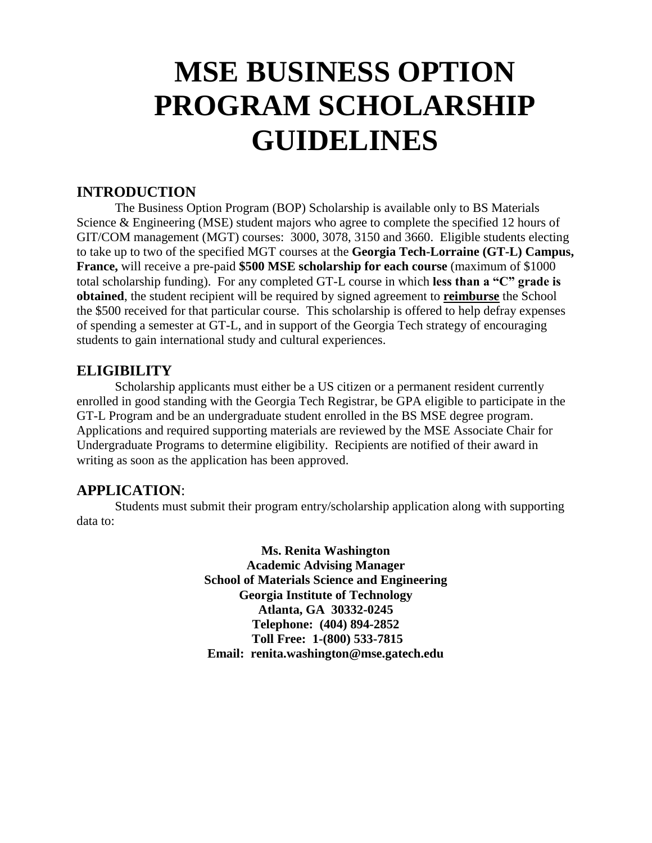# **MSE BUSINESS OPTION PROGRAM SCHOLARSHIP GUIDELINES**

## **INTRODUCTION**

The Business Option Program (BOP) Scholarship is available only to BS Materials Science & Engineering (MSE) student majors who agree to complete the specified 12 hours of GIT/COM management (MGT) courses: 3000, 3078, 3150 and 3660. Eligible students electing to take up to two of the specified MGT courses at the **Georgia Tech-Lorraine (GT-L) Campus, France,** will receive a pre-paid **\$500 MSE scholarship for each course** (maximum of \$1000 total scholarship funding). For any completed GT-L course in which **less than a "C" grade is obtained**, the student recipient will be required by signed agreement to **reimburse** the School the \$500 received for that particular course. This scholarship is offered to help defray expenses of spending a semester at GT-L, and in support of the Georgia Tech strategy of encouraging students to gain international study and cultural experiences.

### **ELIGIBILITY**

Scholarship applicants must either be a US citizen or a permanent resident currently enrolled in good standing with the Georgia Tech Registrar, be GPA eligible to participate in the GT-L Program and be an undergraduate student enrolled in the BS MSE degree program. Applications and required supporting materials are reviewed by the MSE Associate Chair for Undergraduate Programs to determine eligibility. Recipients are notified of their award in writing as soon as the application has been approved.

# **APPLICATION**:

Students must submit their program entry/scholarship application along with supporting data to:

> **Ms. Renita Washington Academic Advising Manager School of Materials Science and Engineering Georgia Institute of Technology Atlanta, GA 30332-0245 Telephone: (404) 894-2852 Toll Free: 1-(800) 533-7815 Email: renita.washington@mse.gatech.edu**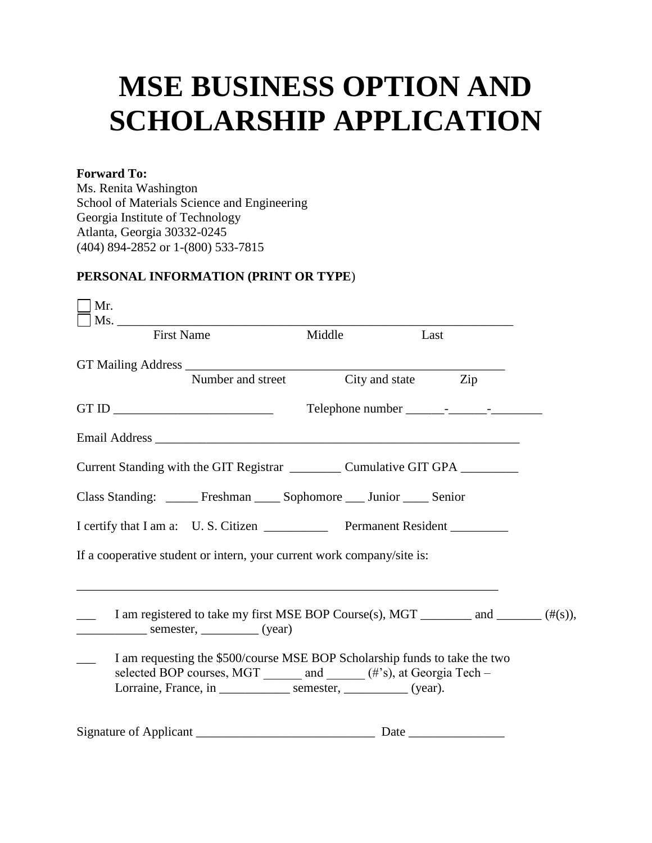# **MSE BUSINESS OPTION AND SCHOLARSHIP APPLICATION**

#### **Forward To:**

Ms. Renita Washington School of Materials Science and Engineering Georgia Institute of Technology Atlanta, Georgia 30332-0245 (404) 894-2852 or 1-(800) 533-7815

### **PERSONAL INFORMATION (PRINT OR TYPE**)

| Mr.               |                   |                                                                                                                                                                                                                              |      |  |
|-------------------|-------------------|------------------------------------------------------------------------------------------------------------------------------------------------------------------------------------------------------------------------------|------|--|
| <b>First Name</b> |                   | Middle                                                                                                                                                                                                                       | Last |  |
|                   | Number and street | City and state Zip                                                                                                                                                                                                           |      |  |
|                   |                   |                                                                                                                                                                                                                              |      |  |
|                   |                   |                                                                                                                                                                                                                              |      |  |
|                   |                   | Current Standing with the GIT Registrar ____________ Cumulative GIT GPA _________                                                                                                                                            |      |  |
|                   |                   | Class Standing: ______ Freshman _____ Sophomore ____ Junior _____ Senior                                                                                                                                                     |      |  |
|                   |                   | I certify that I am a: U.S. Citizen ______________ Permanent Resident __________                                                                                                                                             |      |  |
|                   |                   | If a cooperative student or intern, your current work company/site is:                                                                                                                                                       |      |  |
|                   |                   | I am registered to take my first MSE BOP Course(s), MGT _________ and ________ ( $\#(s)$ ),                                                                                                                                  |      |  |
|                   |                   | I am requesting the \$500/course MSE BOP Scholarship funds to take the two<br>selected BOP courses, MGT ______ and ______ (#'s), at Georgia Tech -<br>Lorraine, France, in __________________ semester, ____________ (year). |      |  |
|                   |                   |                                                                                                                                                                                                                              |      |  |